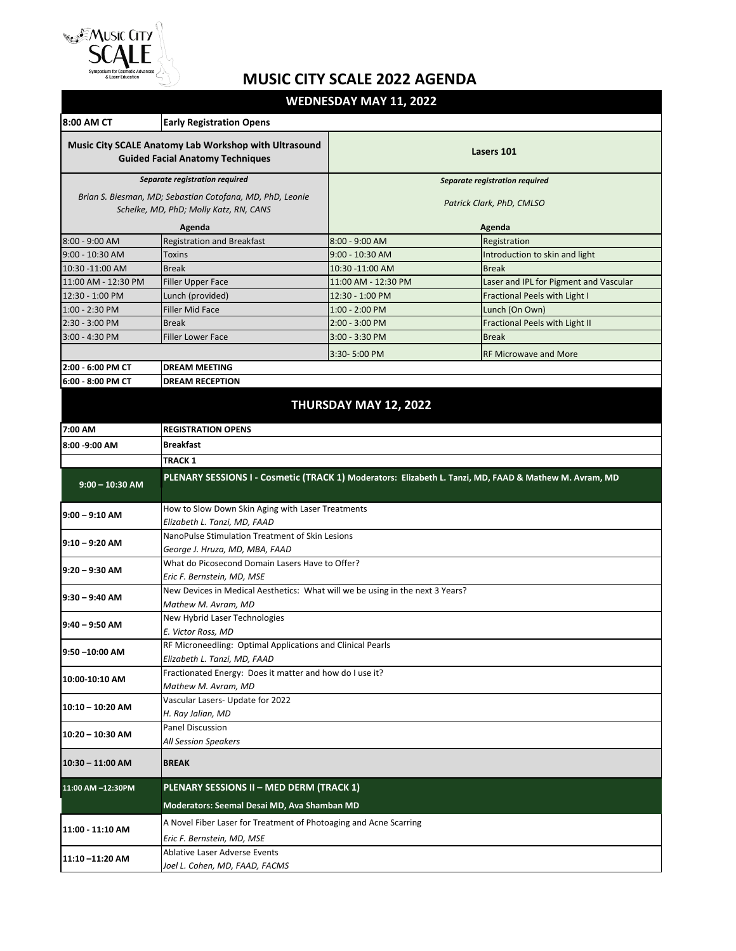

## **MUSIC CITY SCALE 2022 AGENDA**

## **WEDNESDAY MAY 11, 2022**

| 8:00 AM CT                                                                                          | <b>Early Registration Opens</b>                                                                        |                       |                                        |  |
|-----------------------------------------------------------------------------------------------------|--------------------------------------------------------------------------------------------------------|-----------------------|----------------------------------------|--|
| Music City SCALE Anatomy Lab Workshop with Ultrasound<br><b>Guided Facial Anatomy Techniques</b>    |                                                                                                        | Lasers 101            |                                        |  |
| Separate registration required                                                                      |                                                                                                        |                       | Separate registration required         |  |
| Brian S. Biesman, MD; Sebastian Cotofana, MD, PhD, Leonie<br>Schelke, MD, PhD; Molly Katz, RN, CANS |                                                                                                        |                       | Patrick Clark, PhD, CMLSO              |  |
|                                                                                                     | Agenda                                                                                                 |                       | Agenda                                 |  |
| 8:00 - 9:00 AM                                                                                      | <b>Registration and Breakfast</b>                                                                      | 8:00 - 9:00 AM        | Registration                           |  |
| 9:00 - 10:30 AM                                                                                     | Toxins                                                                                                 | 9:00 - 10:30 AM       | Introduction to skin and light         |  |
| 10:30 -11:00 AM                                                                                     | <b>Break</b>                                                                                           | 10:30 -11:00 AM       | <b>Break</b>                           |  |
| 11:00 AM - 12:30 PM                                                                                 | <b>Filler Upper Face</b>                                                                               | 11:00 AM - 12:30 PM   | Laser and IPL for Pigment and Vascular |  |
| 12:30 - 1:00 PM                                                                                     | Lunch (provided)                                                                                       | 12:30 - 1:00 PM       | <b>Fractional Peels with Light I</b>   |  |
| 1:00 - 2:30 PM                                                                                      | <b>Filler Mid Face</b>                                                                                 | 1:00 - 2:00 PM        | Lunch (On Own)                         |  |
| 2:30 - 3:00 PM                                                                                      | <b>Break</b>                                                                                           | 2:00 - 3:00 PM        | Fractional Peels with Light II         |  |
| 3:00 - 4:30 PM                                                                                      | <b>Filler Lower Face</b>                                                                               | 3:00 - 3:30 PM        | <b>Break</b>                           |  |
|                                                                                                     |                                                                                                        | 3:30-5:00 PM          | <b>RF Microwave and More</b>           |  |
| 2:00 - 6:00 PM CT                                                                                   | <b>DREAM MEETING</b>                                                                                   |                       |                                        |  |
| 6:00 - 8:00 PM CT                                                                                   | <b>DREAM RECEPTION</b>                                                                                 |                       |                                        |  |
|                                                                                                     |                                                                                                        | THURSDAY MAY 12, 2022 |                                        |  |
| 7:00 AM                                                                                             | <b>REGISTRATION OPENS</b>                                                                              |                       |                                        |  |
| 8:00 -9:00 AM                                                                                       | <b>Breakfast</b>                                                                                       |                       |                                        |  |
|                                                                                                     | TRACK 1                                                                                                |                       |                                        |  |
|                                                                                                     | PLENARY SESSIONS I - Cosmetic (TRACK 1) Moderators: Elizabeth L. Tanzi, MD, FAAD & Mathew M. Avram, MD |                       |                                        |  |
| $9:00 - 10:30$ AM                                                                                   |                                                                                                        |                       |                                        |  |
| $9:00 - 9:10$ AM                                                                                    | How to Slow Down Skin Aging with Laser Treatments                                                      |                       |                                        |  |
|                                                                                                     | Elizabeth L. Tanzi, MD, FAAD                                                                           |                       |                                        |  |
| 9:10 - 9:20 AM                                                                                      | NanoPulse Stimulation Treatment of Skin Lesions                                                        |                       |                                        |  |
|                                                                                                     | George J. Hruza, MD, MBA, FAAD                                                                         |                       |                                        |  |
| $9:20 - 9:30$ AM                                                                                    | What do Picosecond Domain Lasers Have to Offer?                                                        |                       |                                        |  |
|                                                                                                     | Eric F. Bernstein, MD, MSE                                                                             |                       |                                        |  |
| $9:30 - 9:40$ AM                                                                                    | New Devices in Medical Aesthetics: What will we be using in the next 3 Years?                          |                       |                                        |  |
|                                                                                                     | Mathew M. Avram, MD                                                                                    |                       |                                        |  |
| $9:40 - 9:50$ AM                                                                                    | New Hybrid Laser Technologies                                                                          |                       |                                        |  |
|                                                                                                     | E. Victor Ross, MD                                                                                     |                       |                                        |  |
| 9:50 –10:00 AM                                                                                      | RF Microneedling: Optimal Applications and Clinical Pearls                                             |                       |                                        |  |
|                                                                                                     | Elizabeth L. Tanzi, MD, FAAD<br>Fractionated Energy: Does it matter and how do I use it?               |                       |                                        |  |
| 10:00-10:10 AM                                                                                      | Mathew M. Avram, MD                                                                                    |                       |                                        |  |
|                                                                                                     | Vascular Lasers- Update for 2022                                                                       |                       |                                        |  |
| 10:10 - 10:20 AM                                                                                    | H. Ray Jalian, MD                                                                                      |                       |                                        |  |
|                                                                                                     | Panel Discussion                                                                                       |                       |                                        |  |
| 10:20 - 10:30 AM                                                                                    | All Session Speakers                                                                                   |                       |                                        |  |
| $10:30 - 11:00$ AM                                                                                  | <b>BREAK</b>                                                                                           |                       |                                        |  |
| 11:00 AM -12:30PM                                                                                   | PLENARY SESSIONS II - MED DERM (TRACK 1)                                                               |                       |                                        |  |
|                                                                                                     | Moderators: Seemal Desai MD, Ava Shamban MD                                                            |                       |                                        |  |
|                                                                                                     | A Novel Fiber Laser for Treatment of Photoaging and Acne Scarring                                      |                       |                                        |  |
| 11:00 - 11:10 AM                                                                                    | Eric F. Bernstein, MD, MSE                                                                             |                       |                                        |  |
|                                                                                                     | Ablative Laser Adverse Events                                                                          |                       |                                        |  |
| 11:10 –11:20 AM                                                                                     | Joel L. Cohen, MD, FAAD, FACMS                                                                         |                       |                                        |  |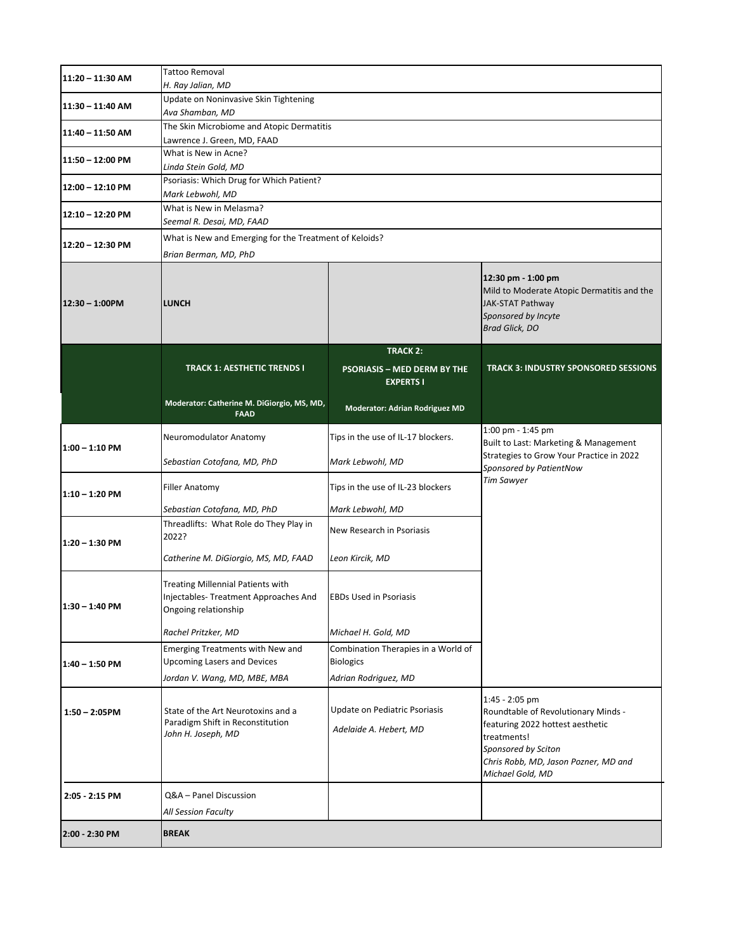| 2:00 - 2:30 PM   | <b>BREAK</b>                                                                                             |                                                         |                                                                                                                                      |  |
|------------------|----------------------------------------------------------------------------------------------------------|---------------------------------------------------------|--------------------------------------------------------------------------------------------------------------------------------------|--|
|                  | All Session Faculty                                                                                      |                                                         |                                                                                                                                      |  |
|                  |                                                                                                          |                                                         |                                                                                                                                      |  |
| 2:05 - 2:15 PM   | Q&A - Panel Discussion                                                                                   |                                                         |                                                                                                                                      |  |
|                  |                                                                                                          |                                                         | treatments!<br>Sponsored by Sciton<br>Chris Robb, MD, Jason Pozner, MD and<br>Michael Gold, MD                                       |  |
| $1:50 - 2:05$ PM | Paradigm Shift in Reconstitution<br>John H. Joseph, MD                                                   | Adelaide A. Hebert, MD                                  | featuring 2022 hottest aesthetic                                                                                                     |  |
|                  | State of the Art Neurotoxins and a                                                                       | Update on Pediatric Psoriasis                           | $1:45 - 2:05$ pm<br>Roundtable of Revolutionary Minds -                                                                              |  |
|                  | Jordan V. Wang, MD, MBE, MBA                                                                             | Adrian Rodriguez, MD                                    |                                                                                                                                      |  |
| $1:40 - 1:50$ PM | Emerging Treatments with New and<br><b>Upcoming Lasers and Devices</b>                                   | Combination Therapies in a World of<br><b>Biologics</b> |                                                                                                                                      |  |
|                  | Rachel Pritzker, MD                                                                                      | Michael H. Gold, MD                                     |                                                                                                                                      |  |
| $1:30 - 1:40$ PM | <b>Treating Millennial Patients with</b><br>Injectables-Treatment Approaches And<br>Ongoing relationship | <b>EBDs Used in Psoriasis</b>                           |                                                                                                                                      |  |
| $1:20 - 1:30$ PM | Catherine M. DiGiorgio, MS, MD, FAAD                                                                     | Leon Kircik, MD                                         |                                                                                                                                      |  |
|                  | Threadlifts: What Role do They Play in<br>2022?                                                          | New Research in Psoriasis                               |                                                                                                                                      |  |
|                  | Sebastian Cotofana, MD, PhD                                                                              | Mark Lebwohl, MD                                        |                                                                                                                                      |  |
| $1:10 - 1:20$ PM | Filler Anatomy                                                                                           | Tips in the use of IL-23 blockers                       | Sponsored by PatientNow<br><b>Tim Sawyer</b>                                                                                         |  |
| $1:00 - 1:10$ PM | Sebastian Cotofana, MD, PhD                                                                              | Mark Lebwohl, MD                                        | Built to Last: Marketing & Management<br>Strategies to Grow Your Practice in 2022                                                    |  |
|                  | Neuromodulator Anatomy                                                                                   | Tips in the use of IL-17 blockers.                      | $1:00$ pm - $1:45$ pm                                                                                                                |  |
|                  | Moderator: Catherine M. DiGiorgio, MS, MD,<br><b>FAAD</b>                                                | <b>Moderator: Adrian Rodriguez MD</b>                   |                                                                                                                                      |  |
|                  | <b>TRACK 1: AESTHETIC TRENDS I</b>                                                                       | <b>PSORIASIS - MED DERM BY THE</b><br><b>EXPERTS I</b>  | <b>TRACK 3: INDUSTRY SPONSORED SESSIONS</b>                                                                                          |  |
|                  |                                                                                                          | <b>TRACK 2:</b>                                         |                                                                                                                                      |  |
| 12:30 - 1:00PM   | <b>LUNCH</b>                                                                                             |                                                         | 12:30 pm - 1:00 pm<br>Mild to Moderate Atopic Dermatitis and the<br>JAK-STAT Pathway<br>Sponsored by Incyte<br><b>Brad Glick, DO</b> |  |
|                  | Brian Berman, MD, PhD                                                                                    |                                                         |                                                                                                                                      |  |
| 12:20 - 12:30 PM | What is New and Emerging for the Treatment of Keloids?                                                   |                                                         |                                                                                                                                      |  |
| 12:10 - 12:20 PM | What is New in Melasma?<br>Seemal R. Desai, MD, FAAD                                                     |                                                         |                                                                                                                                      |  |
| 12:00 – 12:10 PM | Mark Lebwohl, MD                                                                                         |                                                         |                                                                                                                                      |  |
|                  | Linda Stein Gold, MD<br>Psoriasis: Which Drug for Which Patient?                                         |                                                         |                                                                                                                                      |  |
| 11:50 - 12:00 PM | What is New in Acne?                                                                                     | Lawrence J. Green, MD, FAAD                             |                                                                                                                                      |  |
| 11:40 – 11:50 AM | The Skin Microbiome and Atopic Dermatitis                                                                |                                                         |                                                                                                                                      |  |
| 11:30 - 11:40 AM | Ava Shamban, MD                                                                                          |                                                         |                                                                                                                                      |  |
|                  | H. Ray Jalian, MD<br>Update on Noninvasive Skin Tightening                                               |                                                         |                                                                                                                                      |  |
| 11:20 - 11:30 AM | <b>Tattoo Removal</b>                                                                                    |                                                         |                                                                                                                                      |  |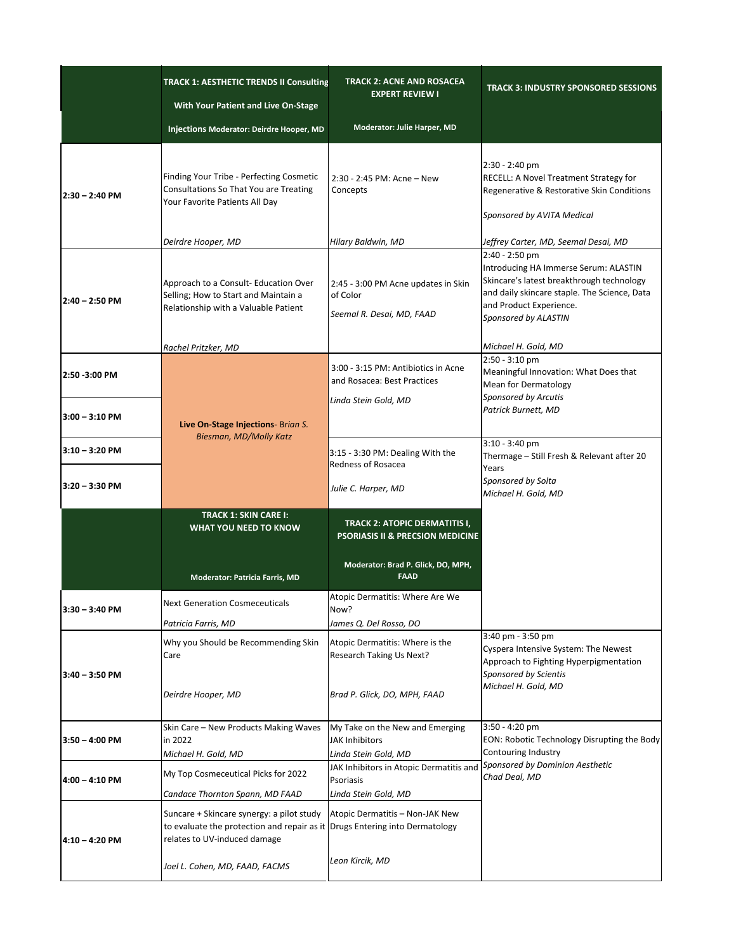|                          | <b>TRACK 1: AESTHETIC TRENDS II Consulting</b><br>With Your Patient and Live On-Stage                                                                    | <b>TRACK 2: ACNE AND ROSACEA</b><br><b>EXPERT REVIEW I</b>                                 | <b>TRACK 3: INDUSTRY SPONSORED SESSIONS</b>                                                                                                                                                               |
|--------------------------|----------------------------------------------------------------------------------------------------------------------------------------------------------|--------------------------------------------------------------------------------------------|-----------------------------------------------------------------------------------------------------------------------------------------------------------------------------------------------------------|
|                          | Injections Moderator: Deirdre Hooper, MD                                                                                                                 | Moderator: Julie Harper, MD                                                                |                                                                                                                                                                                                           |
| $2:30 - 2:40$ PM         | Finding Your Tribe - Perfecting Cosmetic<br>Consultations So That You are Treating<br>Your Favorite Patients All Day                                     | 2:30 - 2:45 PM: Acne - New<br>Concepts                                                     | $2:30 - 2:40$ pm<br>RECELL: A Novel Treatment Strategy for<br>Regenerative & Restorative Skin Conditions<br>Sponsored by AVITA Medical                                                                    |
|                          | Deirdre Hooper, MD                                                                                                                                       | Hilary Baldwin, MD                                                                         | Jeffrey Carter, MD, Seemal Desai, MD                                                                                                                                                                      |
| $2:40 - 2:50$ PM         | Approach to a Consult- Education Over<br>Selling; How to Start and Maintain a<br>Relationship with a Valuable Patient                                    | 2:45 - 3:00 PM Acne updates in Skin<br>of Color<br>Seemal R. Desai, MD, FAAD               | $2:40 - 2:50$ pm<br>Introducing HA Immerse Serum: ALASTIN<br>Skincare's latest breakthrough technology<br>and daily skincare staple. The Science, Data<br>and Product Experience.<br>Sponsored by ALASTIN |
|                          | Rachel Pritzker, MD                                                                                                                                      |                                                                                            | Michael H. Gold, MD                                                                                                                                                                                       |
| 2:50 -3:00 PM            |                                                                                                                                                          | 3:00 - 3:15 PM: Antibiotics in Acne<br>and Rosacea: Best Practices<br>Linda Stein Gold, MD | $2:50 - 3:10$ pm<br>Meaningful Innovation: What Does that<br>Mean for Dermatology<br>Sponsored by Arcutis                                                                                                 |
| $3:00 - 3:10 \text{ PM}$ | Live On-Stage Injections- Brian S.<br>Biesman, MD/Molly Katz                                                                                             |                                                                                            | Patrick Burnett, MD                                                                                                                                                                                       |
| $3:10 - 3:20$ PM         |                                                                                                                                                          | 3:15 - 3:30 PM: Dealing With the<br><b>Redness of Rosacea</b>                              | $3:10 - 3:40$ pm<br>Thermage - Still Fresh & Relevant after 20<br>Years                                                                                                                                   |
| $3:20 - 3:30$ PM         |                                                                                                                                                          | Julie C. Harper, MD                                                                        | Sponsored by Solta<br>Michael H. Gold, MD                                                                                                                                                                 |
|                          | <b>TRACK 1: SKIN CARE I:</b><br><b>WHAT YOU NEED TO KNOW</b>                                                                                             | TRACK 2: ATOPIC DERMATITIS I,<br><b>PSORIASIS II &amp; PRECSION MEDICINE</b>               |                                                                                                                                                                                                           |
|                          | Moderator: Patricia Farris, MD                                                                                                                           | Moderator: Brad P. Glick, DO, MPH,<br><b>FAAD</b>                                          |                                                                                                                                                                                                           |
| $3:30 - 3:40$ PM         | <b>Next Generation Cosmeceuticals</b>                                                                                                                    | Atopic Dermatitis: Where Are We<br>Now?                                                    |                                                                                                                                                                                                           |
|                          | Patricia Farris, MD                                                                                                                                      | James Q. Del Rosso, DO                                                                     |                                                                                                                                                                                                           |
| $3:40 - 3:50$ PM         | Why you Should be Recommending Skin<br>Care                                                                                                              | Atopic Dermatitis: Where is the<br>Research Taking Us Next?                                | 3:40 pm - 3:50 pm<br>Cyspera Intensive System: The Newest<br>Approach to Fighting Hyperpigmentation<br>Sponsored by Scientis<br>Michael H. Gold, MD                                                       |
|                          | Deirdre Hooper, MD                                                                                                                                       | Brad P. Glick, DO, MPH, FAAD                                                               |                                                                                                                                                                                                           |
| $3:50 - 4:00$ PM         | Skin Care - New Products Making Waves<br>in 2022<br>Michael H. Gold, MD                                                                                  | My Take on the New and Emerging<br>JAK Inhibitors<br>Linda Stein Gold, MD                  | $3:50 - 4:20$ pm<br>EON: Robotic Technology Disrupting the Body<br>Contouring Industry                                                                                                                    |
| $4:00 - 4:10 \text{ PM}$ | My Top Cosmeceutical Picks for 2022<br>Candace Thornton Spann, MD FAAD                                                                                   | JAK Inhibitors in Atopic Dermatitis and<br>Psoriasis<br>Linda Stein Gold, MD               | Sponsored by Dominion Aesthetic<br>Chad Deal, MD                                                                                                                                                          |
| 4:10 - 4:20 PM           | Suncare + Skincare synergy: a pilot study<br>to evaluate the protection and repair as it Drugs Entering into Dermatology<br>relates to UV-induced damage | Atopic Dermatitis - Non-JAK New                                                            |                                                                                                                                                                                                           |
|                          | Joel L. Cohen, MD, FAAD, FACMS                                                                                                                           | Leon Kircik, MD                                                                            |                                                                                                                                                                                                           |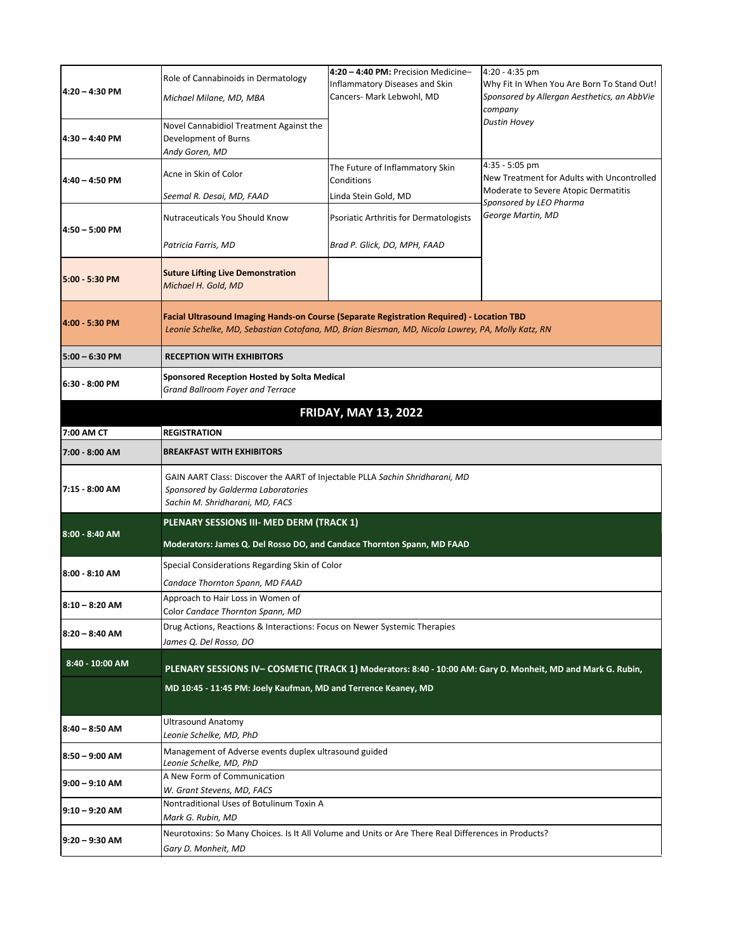| 4:20 – 4:30 PM   | Role of Cannabinoids in Dermatology<br>Michael Milane, MD, MBA                                                                                                                                | 4:20 - 4:40 PM: Precision Medicine-<br>Inflammatory Diseases and Skin<br>Cancers- Mark Lebwohl, MD | 4:20 - 4:35 pm<br>Why Fit In When You Are Born To Stand Out!<br>Sponsored by Allergan Aesthetics, an AbbVie |
|------------------|-----------------------------------------------------------------------------------------------------------------------------------------------------------------------------------------------|----------------------------------------------------------------------------------------------------|-------------------------------------------------------------------------------------------------------------|
| 4:30 - 4:40 PM   | Novel Cannabidiol Treatment Against the<br>Development of Burns<br>Andy Goren, MD                                                                                                             |                                                                                                    | company<br><b>Dustin Hovey</b>                                                                              |
| 4:40 - 4:50 PM   | Acne in Skin of Color                                                                                                                                                                         | The Future of Inflammatory Skin<br>Conditions                                                      | 4:35 - 5:05 pm<br>New Treatment for Adults with Uncontrolled<br>Moderate to Severe Atopic Dermatitis        |
|                  | Seemal R. Desai, MD, FAAD                                                                                                                                                                     | Linda Stein Gold, MD                                                                               | Sponsored by LEO Pharma                                                                                     |
| 4:50 - 5:00 PM   | <b>Nutraceuticals You Should Know</b>                                                                                                                                                         | Psoriatic Arthritis for Dermatologists                                                             | George Martin, MD                                                                                           |
|                  | Patricia Farris, MD                                                                                                                                                                           | Brad P. Glick, DO, MPH, FAAD                                                                       |                                                                                                             |
| 5:00 - 5:30 PM   | <b>Suture Lifting Live Demonstration</b><br>Michael H. Gold, MD                                                                                                                               |                                                                                                    |                                                                                                             |
| 4:00 - 5:30 PM   | Facial Ultrasound Imaging Hands-on Course (Separate Registration Required) - Location TBD<br>Leonie Schelke, MD, Sebastian Cotofana, MD, Brian Biesman, MD, Nicola Lowrey, PA, Molly Katz, RN |                                                                                                    |                                                                                                             |
| $5:00 - 6:30$ PM | <b>RECEPTION WITH EXHIBITORS</b>                                                                                                                                                              |                                                                                                    |                                                                                                             |
| 6:30 - 8:00 PM   | Grand Ballroom Foyer and Terrace                                                                                                                                                              | <b>Sponsored Reception Hosted by Solta Medical</b>                                                 |                                                                                                             |
|                  |                                                                                                                                                                                               | <b>FRIDAY, MAY 13, 2022</b>                                                                        |                                                                                                             |
| 7:00 AM CT       | <b>REGISTRATION</b>                                                                                                                                                                           |                                                                                                    |                                                                                                             |
|                  |                                                                                                                                                                                               |                                                                                                    |                                                                                                             |
| 7:00 - 8:00 AM   | <b>BREAKFAST WITH EXHIBITORS</b>                                                                                                                                                              |                                                                                                    |                                                                                                             |
| 7:15 - 8:00 AM   | GAIN AART Class: Discover the AART of Injectable PLLA Sachin Shridharani, MD<br>Sponsored by Galderma Laboratories<br>Sachin M. Shridharani, MD, FACS                                         |                                                                                                    |                                                                                                             |
|                  | PLENARY SESSIONS III- MED DERM (TRACK 1)                                                                                                                                                      |                                                                                                    |                                                                                                             |
| 8:00 - 8:40 AM   | Moderators: James Q. Del Rosso DO, and Candace Thornton Spann, MD FAAD                                                                                                                        |                                                                                                    |                                                                                                             |
| 8:00 - 8:10 AM   | Special Considerations Regarding Skin of Color                                                                                                                                                |                                                                                                    |                                                                                                             |
|                  | Candace Thornton Spann, MD FAAD                                                                                                                                                               |                                                                                                    |                                                                                                             |
| $8:10 - 8:20$ AM | Approach to Hair Loss in Women of                                                                                                                                                             |                                                                                                    |                                                                                                             |
|                  | Color Candace Thornton Spann, MD<br>Drug Actions, Reactions & Interactions: Focus on Newer Systemic Therapies                                                                                 |                                                                                                    |                                                                                                             |
| $8:20 - 8:40$ AM | James Q. Del Rosso, DO                                                                                                                                                                        |                                                                                                    |                                                                                                             |
| 8:40 - 10:00 AM  |                                                                                                                                                                                               |                                                                                                    | PLENARY SESSIONS IV- COSMETIC (TRACK 1) Moderators: 8:40 - 10:00 AM: Gary D. Monheit, MD and Mark G. Rubin, |
|                  | MD 10:45 - 11:45 PM: Joely Kaufman, MD and Terrence Keaney, MD                                                                                                                                |                                                                                                    |                                                                                                             |
| $8:40 - 8:50$ AM | Ultrasound Anatomy<br>Leonie Schelke, MD, PhD                                                                                                                                                 |                                                                                                    |                                                                                                             |
|                  | Management of Adverse events duplex ultrasound guided                                                                                                                                         |                                                                                                    |                                                                                                             |
| $8:50 - 9:00$ AM | Leonie Schelke, MD, PhD                                                                                                                                                                       |                                                                                                    |                                                                                                             |
| 9:00 - 9:10 AM   | A New Form of Communication                                                                                                                                                                   |                                                                                                    |                                                                                                             |
|                  | W. Grant Stevens, MD, FACS<br>Nontraditional Uses of Botulinum Toxin A                                                                                                                        |                                                                                                    |                                                                                                             |
| 9:10 - 9:20 AM   | Mark G. Rubin, MD                                                                                                                                                                             |                                                                                                    |                                                                                                             |
| 9:20 - 9:30 AM   | Neurotoxins: So Many Choices. Is It All Volume and Units or Are There Real Differences in Products?                                                                                           |                                                                                                    |                                                                                                             |
|                  | Gary D. Monheit, MD                                                                                                                                                                           |                                                                                                    |                                                                                                             |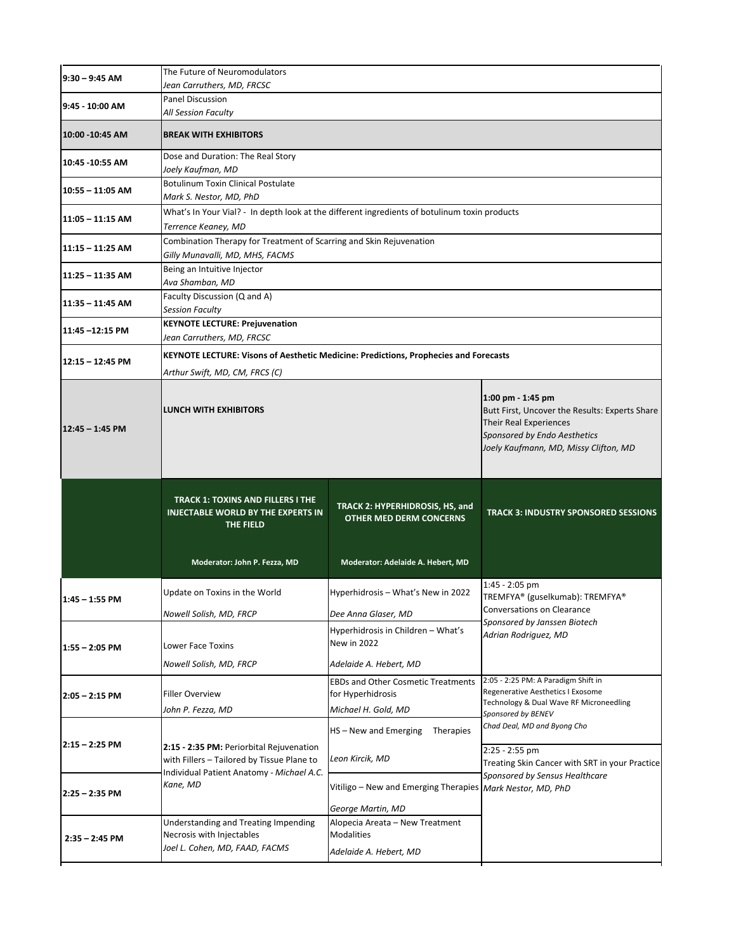| $9:30 - 9:45$ AM  | The Future of Neuromodulators                                                                      |                                                                   |                                                                                                                                                                               |  |
|-------------------|----------------------------------------------------------------------------------------------------|-------------------------------------------------------------------|-------------------------------------------------------------------------------------------------------------------------------------------------------------------------------|--|
|                   | Jean Carruthers, MD, FRCSC                                                                         |                                                                   |                                                                                                                                                                               |  |
| 9:45 - 10:00 AM   | Panel Discussion                                                                                   |                                                                   |                                                                                                                                                                               |  |
|                   | All Session Faculty                                                                                |                                                                   |                                                                                                                                                                               |  |
| 10:00 -10:45 AM   | <b>BREAK WITH EXHIBITORS</b>                                                                       |                                                                   |                                                                                                                                                                               |  |
| 10:45 -10:55 AM   | Dose and Duration: The Real Story                                                                  |                                                                   |                                                                                                                                                                               |  |
|                   | Joely Kaufman, MD                                                                                  |                                                                   |                                                                                                                                                                               |  |
| 10:55 - 11:05 AM  | <b>Botulinum Toxin Clinical Postulate</b>                                                          |                                                                   |                                                                                                                                                                               |  |
|                   | Mark S. Nestor, MD, PhD                                                                            |                                                                   |                                                                                                                                                                               |  |
| 11:05 - 11:15 AM  | What's In Your Vial? - In depth look at the different ingredients of botulinum toxin products      |                                                                   |                                                                                                                                                                               |  |
|                   | Terrence Keaney, MD                                                                                |                                                                   |                                                                                                                                                                               |  |
| 11:15 – 11:25 AM  | Combination Therapy for Treatment of Scarring and Skin Rejuvenation                                |                                                                   |                                                                                                                                                                               |  |
|                   | Gilly Munavalli, MD, MHS, FACMS                                                                    |                                                                   |                                                                                                                                                                               |  |
| 11:25 - 11:35 AM  | Being an Intuitive Injector                                                                        |                                                                   |                                                                                                                                                                               |  |
|                   | Ava Shamban, MD                                                                                    |                                                                   |                                                                                                                                                                               |  |
| 11:35 - 11:45 AM  | Faculty Discussion (Q and A)                                                                       |                                                                   |                                                                                                                                                                               |  |
|                   | <b>Session Faculty</b>                                                                             |                                                                   |                                                                                                                                                                               |  |
| 11:45 - 12:15 PM  | <b>KEYNOTE LECTURE: Prejuvenation</b>                                                              |                                                                   |                                                                                                                                                                               |  |
|                   | Jean Carruthers, MD, FRCSC                                                                         |                                                                   |                                                                                                                                                                               |  |
| 12:15 - 12:45 PM  | <b>KEYNOTE LECTURE: Visons of Aesthetic Medicine: Predictions, Prophecies and Forecasts</b>        |                                                                   |                                                                                                                                                                               |  |
|                   | Arthur Swift, MD, CM, FRCS (C)                                                                     |                                                                   |                                                                                                                                                                               |  |
|                   |                                                                                                    |                                                                   |                                                                                                                                                                               |  |
| $12:45 - 1:45$ PM | <b>LUNCH WITH EXHIBITORS</b>                                                                       |                                                                   | 1:00 pm - 1:45 pm<br>Butt First, Uncover the Results: Experts Share<br><b>Their Real Experiences</b><br>Sponsored by Endo Aesthetics<br>Joely Kaufmann, MD, Missy Clifton, MD |  |
|                   |                                                                                                    |                                                                   |                                                                                                                                                                               |  |
|                   | <b>TRACK 1: TOXINS AND FILLERS I THE</b><br><b>INJECTABLE WORLD BY THE EXPERTS IN</b><br>THE FIELD | TRACK 2: HYPERHIDROSIS, HS, and<br><b>OTHER MED DERM CONCERNS</b> | <b>TRACK 3: INDUSTRY SPONSORED SESSIONS</b>                                                                                                                                   |  |
|                   | Moderator: John P. Fezza, MD                                                                       | Moderator: Adelaide A. Hebert, MD                                 |                                                                                                                                                                               |  |
|                   |                                                                                                    |                                                                   | 1:45 - 2:05 pm                                                                                                                                                                |  |
| $1:45 - 1:55$ PM  | Update on Toxins in the World                                                                      | Hyperhidrosis - What's New in 2022                                | TREMFYA® (guselkumab): TREMFYA®                                                                                                                                               |  |
|                   | Nowell Solish, MD, FRCP                                                                            | Dee Anna Glaser, MD                                               | Conversations on Clearance                                                                                                                                                    |  |
|                   |                                                                                                    | Hyperhidrosis in Children - What's                                | Sponsored by Janssen Biotech<br>Adrian Rodriguez, MD                                                                                                                          |  |
| $1:55 - 2:05$ PM  | Lower Face Toxins                                                                                  | <b>New in 2022</b>                                                |                                                                                                                                                                               |  |
|                   | Nowell Solish, MD, FRCP                                                                            | Adelaide A. Hebert, MD                                            |                                                                                                                                                                               |  |
|                   |                                                                                                    |                                                                   |                                                                                                                                                                               |  |
|                   |                                                                                                    | <b>EBDs and Other Cosmetic Treatments</b>                         | 2:05 - 2:25 PM: A Paradigm Shift in<br>Regenerative Aesthetics I Exosome                                                                                                      |  |
|                   | <b>Filler Overview</b>                                                                             | for Hyperhidrosis                                                 | Technology & Dual Wave RF Microneedling                                                                                                                                       |  |
|                   | John P. Fezza, MD                                                                                  | Michael H. Gold, MD                                               | Sponsored by BENEV                                                                                                                                                            |  |
| $2:05 - 2:15$ PM  |                                                                                                    | HS - New and Emerging<br>Therapies                                | Chad Deal, MD and Byong Cho                                                                                                                                                   |  |
|                   | 2:15 - 2:35 PM: Periorbital Rejuvenation                                                           |                                                                   |                                                                                                                                                                               |  |
| 2:15 - 2:25 PM    | with Fillers - Tailored by Tissue Plane to                                                         | Leon Kircik, MD                                                   | 2:25 - 2:55 pm<br>Treating Skin Cancer with SRT in your Practice                                                                                                              |  |
|                   | Individual Patient Anatomy - Michael A.C.                                                          |                                                                   | Sponsored by Sensus Healthcare                                                                                                                                                |  |
|                   | Kane, MD                                                                                           | Vitiligo - New and Emerging Therapies Mark Nestor, MD, PhD        |                                                                                                                                                                               |  |
| $2:25 - 2:35$ PM  |                                                                                                    |                                                                   |                                                                                                                                                                               |  |
|                   |                                                                                                    | George Martin, MD                                                 |                                                                                                                                                                               |  |
|                   | Understanding and Treating Impending<br>Necrosis with Injectables                                  | Alopecia Areata - New Treatment<br><b>Modalities</b>              |                                                                                                                                                                               |  |
| $2:35 - 2:45$ PM  | Joel L. Cohen, MD, FAAD, FACMS                                                                     | Adelaide A. Hebert, MD                                            |                                                                                                                                                                               |  |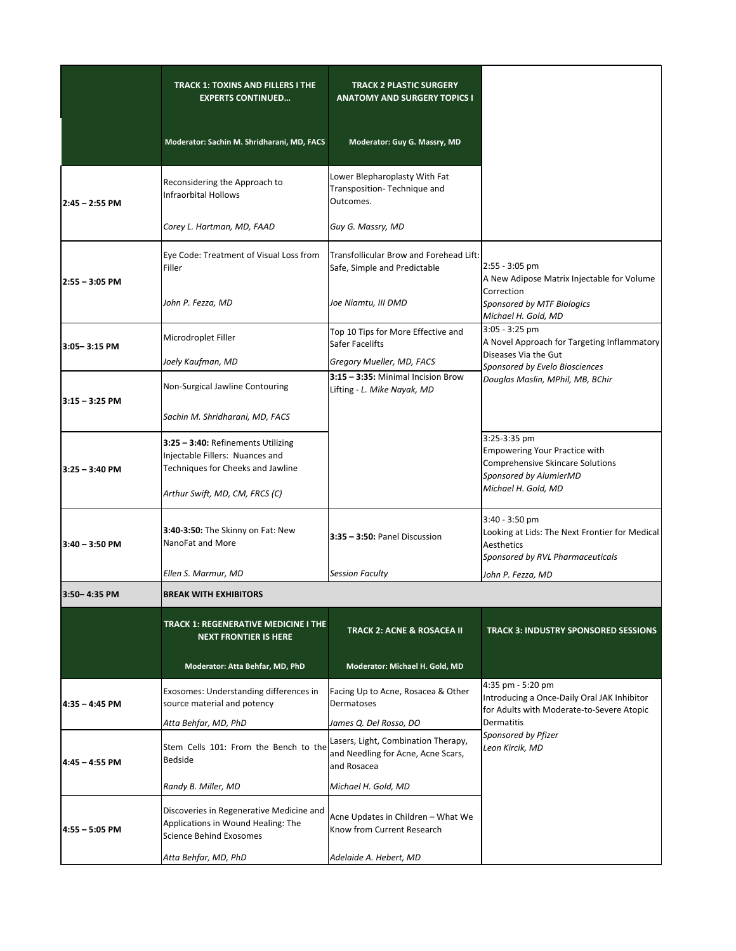|                  | <b>TRACK 1: TOXINS AND FILLERS I THE</b><br><b>EXPERTS CONTINUED</b>                                             | <b>TRACK 2 PLASTIC SURGERY</b><br><b>ANATOMY AND SURGERY TOPICS I</b>                    |                                                                                                                                                  |
|------------------|------------------------------------------------------------------------------------------------------------------|------------------------------------------------------------------------------------------|--------------------------------------------------------------------------------------------------------------------------------------------------|
|                  | Moderator: Sachin M. Shridharani, MD, FACS                                                                       | Moderator: Guy G. Massry, MD                                                             |                                                                                                                                                  |
| 2:45 - 2:55 PM   | Reconsidering the Approach to<br><b>Infraorbital Hollows</b>                                                     | Lower Blepharoplasty With Fat<br>Transposition-Technique and<br>Outcomes.                |                                                                                                                                                  |
|                  | Corey L. Hartman, MD, FAAD                                                                                       | Guy G. Massry, MD                                                                        |                                                                                                                                                  |
| $2:55 - 3:05$ PM | Eye Code: Treatment of Visual Loss from<br>Filler                                                                | Transfollicular Brow and Forehead Lift:<br>Safe, Simple and Predictable                  | 2:55 - 3:05 pm<br>A New Adipose Matrix Injectable for Volume                                                                                     |
|                  | John P. Fezza, MD                                                                                                | Joe Niamtu, III DMD                                                                      | Correction<br>Sponsored by MTF Biologics<br>Michael H. Gold, MD                                                                                  |
| 3:05-3:15 PM     | Microdroplet Filler                                                                                              | Top 10 Tips for More Effective and<br>Safer Facelifts                                    | $3:05 - 3:25$ pm<br>A Novel Approach for Targeting Inflammatory                                                                                  |
|                  | Joely Kaufman, MD                                                                                                | Gregory Mueller, MD, FACS                                                                | Diseases Via the Gut<br>Sponsored by Evelo Biosciences                                                                                           |
| $3:15 - 3:25$ PM | Non-Surgical Jawline Contouring                                                                                  | 3:15 - 3:35: Minimal Incision Brow<br>Lifting - L. Mike Nayak, MD                        | Douglas Maslin, MPhil, MB, BChir                                                                                                                 |
|                  | Sachin M. Shridharani, MD, FACS                                                                                  |                                                                                          |                                                                                                                                                  |
| $3:25 - 3:40$ PM | 3:25 - 3:40: Refinements Utilizing<br>Injectable Fillers: Nuances and<br>Techniques for Cheeks and Jawline       |                                                                                          | 3:25-3:35 pm<br><b>Empowering Your Practice with</b><br><b>Comprehensive Skincare Solutions</b><br>Sponsored by AlumierMD<br>Michael H. Gold, MD |
|                  | Arthur Swift, MD, CM, FRCS (C)                                                                                   |                                                                                          |                                                                                                                                                  |
| $3:40 - 3:50$ PM | 3:40-3:50: The Skinny on Fat: New<br>NanoFat and More                                                            | $3:35 - 3:50$ : Panel Discussion                                                         | $3:40 - 3:50$ pm<br>Looking at Lids: The Next Frontier for Medical<br>Aesthetics<br>Sponsored by RVL Pharmaceuticals                             |
|                  | Ellen S. Marmur, MD                                                                                              | Session Faculty                                                                          | John P. Fezza, MD                                                                                                                                |
| 3:50-4:35 PM     | <b>BREAK WITH EXHIBITORS</b>                                                                                     |                                                                                          |                                                                                                                                                  |
|                  | <b>TRACK 1: REGENERATIVE MEDICINE I THE</b><br><b>NEXT FRONTIER IS HERE</b>                                      | <b>TRACK 2: ACNE &amp; ROSACEA II</b>                                                    | <b>TRACK 3: INDUSTRY SPONSORED SESSIONS</b>                                                                                                      |
|                  | Moderator: Atta Behfar, MD, PhD                                                                                  | Moderator: Michael H. Gold, MD                                                           |                                                                                                                                                  |
| 4:35 – 4:45 PM   | Exosomes: Understanding differences in<br>source material and potency                                            | Facing Up to Acne, Rosacea & Other<br>Dermatoses                                         | 4:35 pm - 5:20 pm<br>Introducing a Once-Daily Oral JAK Inhibitor<br>for Adults with Moderate-to-Severe Atopic                                    |
|                  | Atta Behfar, MD, PhD                                                                                             | James Q. Del Rosso, DO                                                                   | <b>Dermatitis</b><br>Sponsored by Pfizer                                                                                                         |
| 4:45 - 4:55 PM   | Stem Cells 101: From the Bench to the<br><b>Bedside</b>                                                          | Lasers, Light, Combination Therapy,<br>and Needling for Acne, Acne Scars,<br>and Rosacea | Leon Kircik, MD                                                                                                                                  |
|                  | Randy B. Miller, MD                                                                                              | Michael H. Gold, MD                                                                      |                                                                                                                                                  |
| $4:55 - 5:05$ PM | Discoveries in Regenerative Medicine and<br>Applications in Wound Healing: The<br><b>Science Behind Exosomes</b> | Acne Updates in Children - What We<br>Know from Current Research                         |                                                                                                                                                  |
|                  | Atta Behfar, MD, PhD                                                                                             | Adelaide A. Hebert, MD                                                                   |                                                                                                                                                  |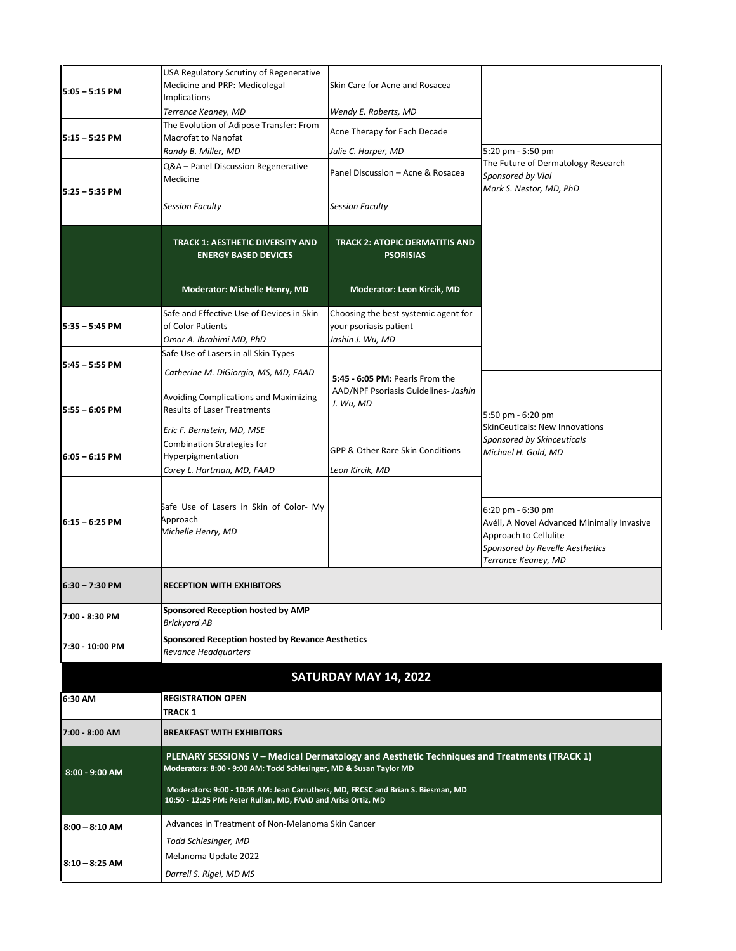| $5:05 - 5:15$ PM | USA Regulatory Scrutiny of Regenerative<br>Medicine and PRP: Medicolegal<br><b>Implications</b>                                                                  | Skin Care for Acne and Rosacea                                          |                                                              |  |
|------------------|------------------------------------------------------------------------------------------------------------------------------------------------------------------|-------------------------------------------------------------------------|--------------------------------------------------------------|--|
|                  | Terrence Keaney, MD                                                                                                                                              | Wendy E. Roberts, MD                                                    |                                                              |  |
| $5:15 - 5:25$ PM | The Evolution of Adipose Transfer: From<br><b>Macrofat to Nanofat</b>                                                                                            | Acne Therapy for Each Decade                                            |                                                              |  |
|                  | Randy B. Miller, MD                                                                                                                                              | Julie C. Harper, MD                                                     | 5:20 pm - 5:50 pm                                            |  |
|                  | Q&A - Panel Discussion Regenerative                                                                                                                              | Panel Discussion - Acne & Rosacea                                       | The Future of Dermatology Research<br>Sponsored by Vial      |  |
| 5:25 - 5:35 PM   | Medicine                                                                                                                                                         |                                                                         | Mark S. Nestor, MD, PhD                                      |  |
|                  | <b>Session Faculty</b>                                                                                                                                           | <b>Session Faculty</b>                                                  |                                                              |  |
|                  | <b>TRACK 1: AESTHETIC DIVERSITY AND</b>                                                                                                                          | <b>TRACK 2: ATOPIC DERMATITIS AND</b>                                   |                                                              |  |
|                  | <b>ENERGY BASED DEVICES</b>                                                                                                                                      | <b>PSORISIAS</b>                                                        |                                                              |  |
|                  | <b>Moderator: Michelle Henry, MD</b>                                                                                                                             | Moderator: Leon Kircik, MD                                              |                                                              |  |
|                  | Safe and Effective Use of Devices in Skin                                                                                                                        | Choosing the best systemic agent for                                    |                                                              |  |
| 5:35 - 5:45 PM   | of Color Patients<br>Omar A. Ibrahimi MD, PhD                                                                                                                    | your psoriasis patient<br>Jashin J. Wu, MD                              |                                                              |  |
|                  | Safe Use of Lasers in all Skin Types                                                                                                                             |                                                                         |                                                              |  |
| 5:45 - 5:55 PM   | Catherine M. DiGiorgio, MS, MD, FAAD                                                                                                                             |                                                                         |                                                              |  |
|                  |                                                                                                                                                                  | 5:45 - 6:05 PM: Pearls From the<br>AAD/NPF Psoriasis Guidelines- Jashin |                                                              |  |
|                  | Avoiding Complications and Maximizing                                                                                                                            | J. Wu, MD                                                               |                                                              |  |
| 5:55 - 6:05 PM   | <b>Results of Laser Treatments</b>                                                                                                                               |                                                                         | 5:50 pm - 6:20 pm                                            |  |
|                  | Eric F. Bernstein, MD, MSE                                                                                                                                       |                                                                         | SkinCeuticals: New Innovations<br>Sponsored by Skinceuticals |  |
| $6:05 - 6:15$ PM | Combination Strategies for<br>Hyperpigmentation                                                                                                                  | <b>GPP &amp; Other Rare Skin Conditions</b>                             | Michael H. Gold, MD                                          |  |
|                  | Corey L. Hartman, MD, FAAD                                                                                                                                       | Leon Kircik, MD                                                         |                                                              |  |
|                  |                                                                                                                                                                  |                                                                         |                                                              |  |
|                  | Safe Use of Lasers in Skin of Color- My                                                                                                                          |                                                                         | 6:20 pm - 6:30 pm                                            |  |
| 6:15 – 6:25 PM   | Approach                                                                                                                                                         |                                                                         | Avéli, A Novel Advanced Minimally Invasive                   |  |
|                  | Michelle Henry, MD                                                                                                                                               |                                                                         | Approach to Cellulite<br>Sponsored by Revelle Aesthetics     |  |
|                  |                                                                                                                                                                  |                                                                         | Terrance Keaney, MD                                          |  |
| $6:30 - 7:30$ PM | <b>RECEPTION WITH EXHIBITORS</b>                                                                                                                                 |                                                                         |                                                              |  |
|                  | Sponsored Reception hosted by AMP                                                                                                                                |                                                                         |                                                              |  |
| 7:00 - 8:30 PM   | Brickyard AB                                                                                                                                                     |                                                                         |                                                              |  |
| 7:30 - 10:00 PM  | Revance Headquarters                                                                                                                                             | <b>Sponsored Reception hosted by Revance Aesthetics</b>                 |                                                              |  |
|                  |                                                                                                                                                                  | SATURDAY MAY 14, 2022                                                   |                                                              |  |
| 6:30 AM          | <b>REGISTRATION OPEN</b>                                                                                                                                         |                                                                         |                                                              |  |
|                  | TRACK 1                                                                                                                                                          |                                                                         |                                                              |  |
| 7:00 - 8:00 AM   | <b>BREAKFAST WITH EXHIBITORS</b>                                                                                                                                 |                                                                         |                                                              |  |
| $8:00 - 9:00$ AM | PLENARY SESSIONS V - Medical Dermatology and Aesthetic Techniques and Treatments (TRACK 1)<br>Moderators: 8:00 - 9:00 AM: Todd Schlesinger, MD & Susan Taylor MD |                                                                         |                                                              |  |
|                  | Moderators: 9:00 - 10:05 AM: Jean Carruthers, MD, FRCSC and Brian S. Biesman, MD<br>10:50 - 12:25 PM: Peter Rullan, MD, FAAD and Arisa Ortiz, MD                 |                                                                         |                                                              |  |
| $8:00 - 8:10$ AM | Advances in Treatment of Non-Melanoma Skin Cancer                                                                                                                |                                                                         |                                                              |  |
|                  | Todd Schlesinger, MD                                                                                                                                             |                                                                         |                                                              |  |
| $8:10 - 8:25$ AM | Melanoma Update 2022                                                                                                                                             |                                                                         |                                                              |  |
|                  | Darrell S. Rigel, MD MS                                                                                                                                          |                                                                         |                                                              |  |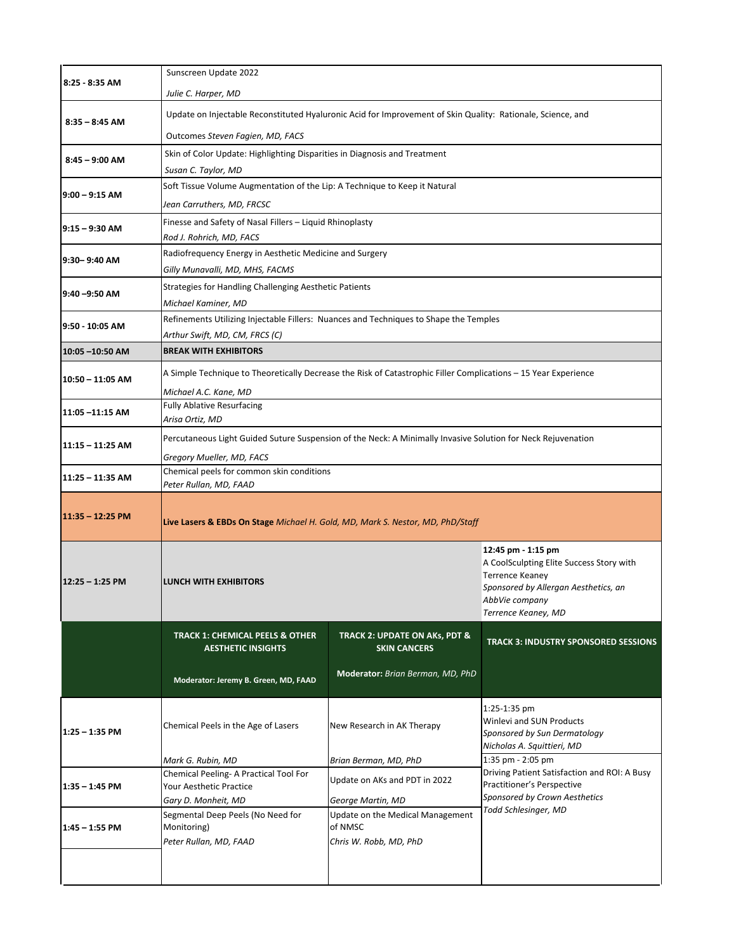| 8:25 - 8:35 AM     | Sunscreen Update 2022                                                                                                                           |                                                      |                                                                                                                                                                    |
|--------------------|-------------------------------------------------------------------------------------------------------------------------------------------------|------------------------------------------------------|--------------------------------------------------------------------------------------------------------------------------------------------------------------------|
|                    | Julie C. Harper, MD                                                                                                                             |                                                      |                                                                                                                                                                    |
| $8:35 - 8:45$ AM   | Update on Injectable Reconstituted Hyaluronic Acid for Improvement of Skin Quality: Rationale, Science, and<br>Outcomes Steven Fagien, MD, FACS |                                                      |                                                                                                                                                                    |
|                    | Skin of Color Update: Highlighting Disparities in Diagnosis and Treatment                                                                       |                                                      |                                                                                                                                                                    |
| $8:45 - 9:00$ AM   | Susan C. Taylor, MD                                                                                                                             |                                                      |                                                                                                                                                                    |
|                    | Soft Tissue Volume Augmentation of the Lip: A Technique to Keep it Natural                                                                      |                                                      |                                                                                                                                                                    |
| $9:00 - 9:15$ AM   | Jean Carruthers, MD, FRCSC                                                                                                                      |                                                      |                                                                                                                                                                    |
| 9:15 - 9:30 AM     | Finesse and Safety of Nasal Fillers - Liquid Rhinoplasty                                                                                        |                                                      |                                                                                                                                                                    |
|                    | Rod J. Rohrich, MD, FACS                                                                                                                        |                                                      |                                                                                                                                                                    |
| 9:30-9:40 AM       | Radiofrequency Energy in Aesthetic Medicine and Surgery                                                                                         |                                                      |                                                                                                                                                                    |
|                    | Gilly Munavalli, MD, MHS, FACMS<br>Strategies for Handling Challenging Aesthetic Patients                                                       |                                                      |                                                                                                                                                                    |
| 9:40 -9:50 AM      | Michael Kaminer, MD                                                                                                                             |                                                      |                                                                                                                                                                    |
|                    | Refinements Utilizing Injectable Fillers: Nuances and Techniques to Shape the Temples                                                           |                                                      |                                                                                                                                                                    |
| 9:50 - 10:05 AM    | Arthur Swift, MD, CM, FRCS (C)                                                                                                                  |                                                      |                                                                                                                                                                    |
| 10:05 -10:50 AM    | <b>BREAK WITH EXHIBITORS</b>                                                                                                                    |                                                      |                                                                                                                                                                    |
| $10:50 - 11:05$ AM | A Simple Technique to Theoretically Decrease the Risk of Catastrophic Filler Complications – 15 Year Experience                                 |                                                      |                                                                                                                                                                    |
|                    | Michael A.C. Kane, MD                                                                                                                           |                                                      |                                                                                                                                                                    |
| 11:05 - 11:15 AM   | <b>Fully Ablative Resurfacing</b>                                                                                                               |                                                      |                                                                                                                                                                    |
|                    | Arisa Ortiz, MD                                                                                                                                 |                                                      |                                                                                                                                                                    |
| $11:15 - 11:25$ AM | Percutaneous Light Guided Suture Suspension of the Neck: A Minimally Invasive Solution for Neck Rejuvenation                                    |                                                      |                                                                                                                                                                    |
|                    | Gregory Mueller, MD, FACS<br>Chemical peels for common skin conditions                                                                          |                                                      |                                                                                                                                                                    |
| $11:25 - 11:35$ AM | Peter Rullan, MD, FAAD                                                                                                                          |                                                      |                                                                                                                                                                    |
| 11:35 – 12:25 PM   | Live Lasers & EBDs On Stage Michael H. Gold, MD, Mark S. Nestor, MD, PhD/Staff                                                                  |                                                      |                                                                                                                                                                    |
| 12:25 - 1:25 PM    | <b>LUNCH WITH EXHIBITORS</b>                                                                                                                    |                                                      | 12:45 pm - 1:15 pm<br>A CoolSculpting Elite Success Story with<br>Terrence Keaney<br>Sponsored by Allergan Aesthetics, an<br>AbbVie company<br>Terrence Keaney, MD |
|                    | <b>TRACK 1: CHEMICAL PEELS &amp; OTHER</b><br><b>AESTHETIC INSIGHTS</b>                                                                         | TRACK 2: UPDATE ON AKs, PDT &<br><b>SKIN CANCERS</b> | <b>TRACK 3: INDUSTRY SPONSORED SESSIONS</b>                                                                                                                        |
|                    | Moderator: Jeremy B. Green, MD, FAAD                                                                                                            | Moderator: Brian Berman, MD, PhD                     |                                                                                                                                                                    |
|                    |                                                                                                                                                 |                                                      | 1:25-1:35 pm                                                                                                                                                       |
| $1:25 - 1:35$ PM   | Chemical Peels in the Age of Lasers                                                                                                             | New Research in AK Therapy                           | Winlevi and SUN Products<br>Sponsored by Sun Dermatology<br>Nicholas A. Squittieri, MD                                                                             |
|                    | Mark G. Rubin, MD                                                                                                                               | Brian Berman, MD, PhD                                | 1:35 pm - 2:05 pm                                                                                                                                                  |
|                    | Chemical Peeling- A Practical Tool For                                                                                                          | Update on AKs and PDT in 2022                        | Driving Patient Satisfaction and ROI: A Busy<br>Practitioner's Perspective                                                                                         |
| $1:35 - 1:45$ PM   | Your Aesthetic Practice<br>Gary D. Monheit, MD                                                                                                  | George Martin, MD                                    | Sponsored by Crown Aesthetics                                                                                                                                      |
|                    | Segmental Deep Peels (No Need for                                                                                                               | Update on the Medical Management                     | Todd Schlesinger, MD                                                                                                                                               |
| $1:45 - 1:55$ PM   | Monitoring)                                                                                                                                     | of NMSC                                              |                                                                                                                                                                    |
|                    | Peter Rullan, MD, FAAD                                                                                                                          | Chris W. Robb, MD, PhD                               |                                                                                                                                                                    |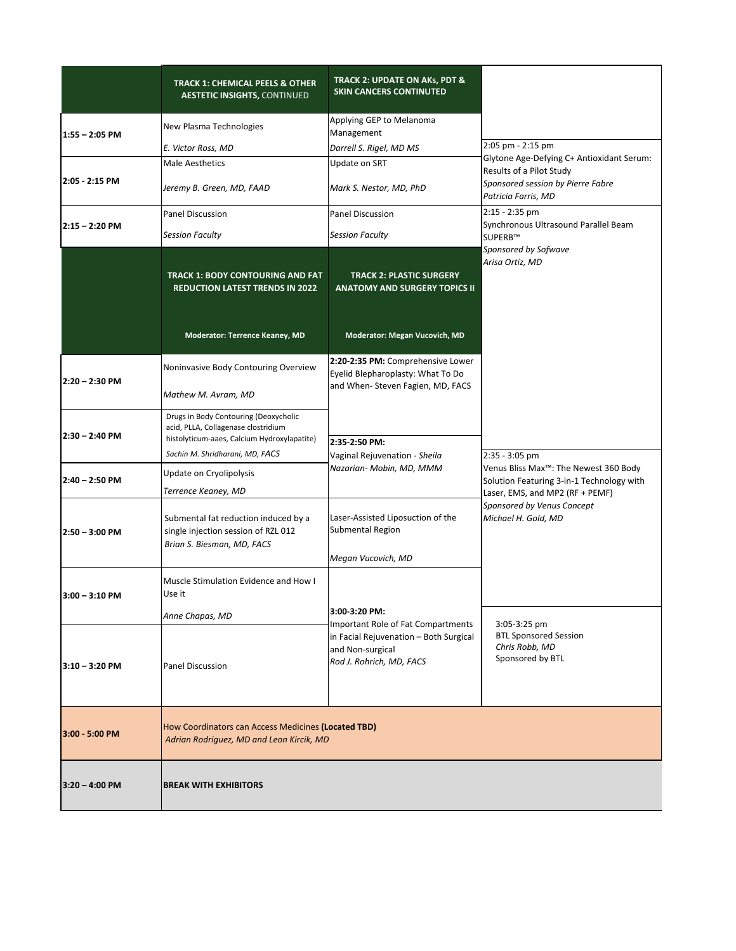|                          | <b>TRACK 1: CHEMICAL PEELS &amp; OTHER</b><br><b>AESTETIC INSIGHTS, CONTINUED</b>                                           | <b>TRACK 2: UPDATE ON AKS, PDT &amp;</b><br><b>SKIN CANCERS CONTINUTED</b>                                                          |                                                                                    |
|--------------------------|-----------------------------------------------------------------------------------------------------------------------------|-------------------------------------------------------------------------------------------------------------------------------------|------------------------------------------------------------------------------------|
| $1:55 - 2:05$ PM         | New Plasma Technologies                                                                                                     | Applying GEP to Melanoma<br>Management                                                                                              |                                                                                    |
|                          | E. Victor Ross, MD                                                                                                          | Darrell S. Rigel, MD MS                                                                                                             | 2:05 pm - 2:15 pm                                                                  |
|                          | <b>Male Aesthetics</b>                                                                                                      | Update on SRT                                                                                                                       | Glytone Age-Defying C+ Antioxidant Serum:<br>Results of a Pilot Study              |
| 2:05 - 2:15 PM           | Jeremy B. Green, MD, FAAD                                                                                                   | Mark S. Nestor, MD, PhD                                                                                                             | Sponsored session by Pierre Fabre<br>Patricia Farris, MD                           |
|                          | Panel Discussion                                                                                                            | Panel Discussion                                                                                                                    | 2:15 - 2:35 pm                                                                     |
| $2:15 - 2:20$ PM         | <b>Session Faculty</b>                                                                                                      | <b>Session Faculty</b>                                                                                                              | Synchronous Ultrasound Parallel Beam<br>SUPERB™                                    |
|                          | <b>TRACK 1: BODY CONTOURING AND FAT</b><br><b>REDUCTION LATEST TRENDS IN 2022</b>                                           | <b>TRACK 2: PLASTIC SURGERY</b><br><b>ANATOMY AND SURGERY TOPICS II</b>                                                             | Sponsored by Sofwave<br>Arisa Ortiz, MD                                            |
|                          | Moderator: Terrence Keaney, MD                                                                                              | Moderator: Megan Vucovich, MD                                                                                                       |                                                                                    |
| $2:20 - 2:30$ PM         | Noninvasive Body Contouring Overview                                                                                        | 2:20-2:35 PM: Comprehensive Lower<br>Eyelid Blepharoplasty: What To Do<br>and When- Steven Fagien, MD, FACS                         |                                                                                    |
|                          | Mathew M. Avram, MD                                                                                                         |                                                                                                                                     |                                                                                    |
| 2:30 - 2:40 PM           | Drugs in Body Contouring (Deoxycholic<br>acid, PLLA, Collagenase clostridium<br>histolyticum-aaes, Calcium Hydroxylapatite) | 2:35-2:50 PM:                                                                                                                       |                                                                                    |
|                          | Sachin M. Shridharani, MD, FACS                                                                                             | Vaginal Rejuvenation - Sheila<br>Nazarian- Mobin, MD, MMM                                                                           | 2:35 - 3:05 pm<br>Venus Bliss Max <sup>™</sup> : The Newest 360 Body               |
| $2:40 - 2:50$ PM         | Update on Cryolipolysis<br>Terrence Keaney, MD                                                                              |                                                                                                                                     | Solution Featuring 3-in-1 Technology with<br>Laser, EMS, and MP2 (RF + PEMF)       |
| 2:50 - 3:00 PM           | Submental fat reduction induced by a<br>single injection session of RZL 012<br>Brian S. Biesman, MD, FACS                   | Laser-Assisted Liposuction of the<br>Submental Region<br>Megan Vucovich, MD                                                         | Sponsored by Venus Concept<br>Michael H. Gold, MD                                  |
| $3:00 - 3:10$ PM         | Muscle Stimulation Evidence and How I<br>Use it                                                                             |                                                                                                                                     |                                                                                    |
|                          | Anne Chapas, MD                                                                                                             | 3:00-3:20 PM:                                                                                                                       |                                                                                    |
| $3:10 - 3:20$ PM         | <b>Panel Discussion</b>                                                                                                     | <b>Important Role of Fat Compartments</b><br>in Facial Rejuvenation - Both Surgical<br>and Non-surgical<br>Rod J. Rohrich, MD, FACS | 3:05-3:25 pm<br><b>BTL Sponsored Session</b><br>Chris Robb, MD<br>Sponsored by BTL |
| 3:00 - 5:00 PM           | How Coordinators can Access Medicines (Located TBD)<br>Adrian Rodriguez, MD and Leon Kircik, MD                             |                                                                                                                                     |                                                                                    |
| $3:20 - 4:00 \text{ PM}$ | <b>BREAK WITH EXHIBITORS</b>                                                                                                |                                                                                                                                     |                                                                                    |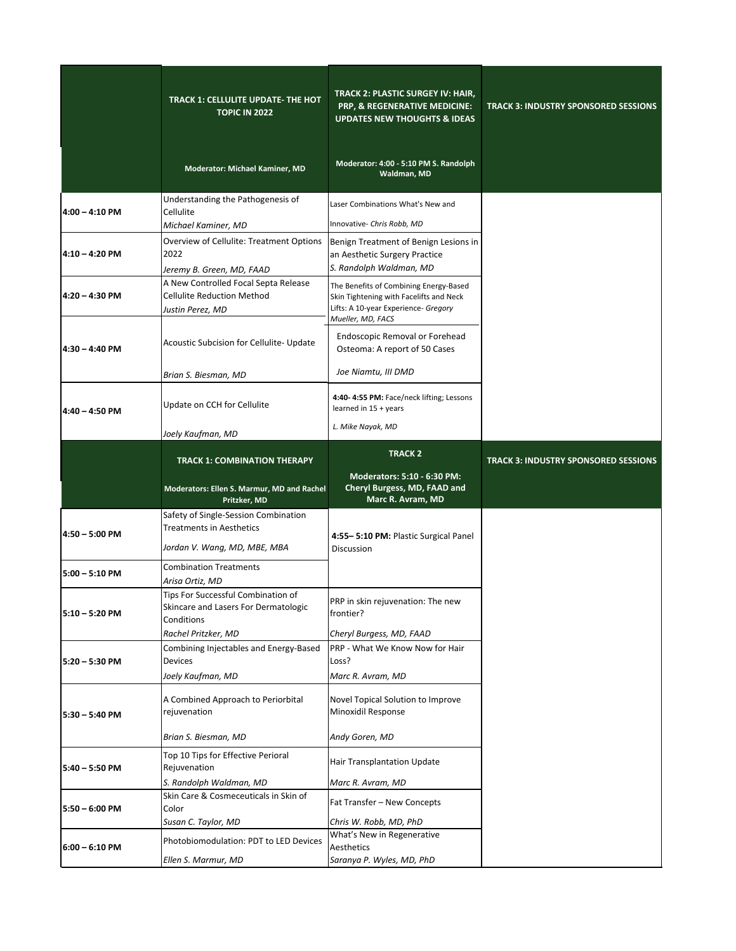|                  | TRACK 1: CELLULITE UPDATE- THE HOT<br><b>TOPIC IN 2022</b>                                           | TRACK 2: PLASTIC SURGEY IV: HAIR,<br>PRP, & REGENERATIVE MEDICINE:<br><b>UPDATES NEW THOUGHTS &amp; IDEAS</b>                                  | TRACK 3: INDUSTRY SPONSORED SESSIONS        |
|------------------|------------------------------------------------------------------------------------------------------|------------------------------------------------------------------------------------------------------------------------------------------------|---------------------------------------------|
|                  | <b>Moderator: Michael Kaminer, MD</b>                                                                | Moderator: 4:00 - 5:10 PM S. Randolph<br>Waldman, MD                                                                                           |                                             |
| $4:00 - 4:10$ PM | Understanding the Pathogenesis of<br>Cellulite<br>Michael Kaminer, MD                                | Laser Combinations What's New and<br>Innovative- Chris Robb, MD                                                                                |                                             |
| $4:10 - 4:20$ PM | Overview of Cellulite: Treatment Options<br>2022<br>Jeremy B. Green, MD, FAAD                        | Benign Treatment of Benign Lesions in<br>an Aesthetic Surgery Practice<br>S. Randolph Waldman, MD                                              |                                             |
| 4:20 - 4:30 PM   | A New Controlled Focal Septa Release<br><b>Cellulite Reduction Method</b><br>Justin Perez, MD        | The Benefits of Combining Energy-Based<br>Skin Tightening with Facelifts and Neck<br>Lifts: A 10-year Experience- Gregory<br>Mueller, MD, FACS |                                             |
| 4:30 - 4:40 PM   | Acoustic Subcision for Cellulite- Update                                                             | Endoscopic Removal or Forehead<br>Osteoma: A report of 50 Cases                                                                                |                                             |
|                  | Brian S. Biesman, MD                                                                                 | Joe Niamtu, III DMD                                                                                                                            |                                             |
| 4:40 - 4:50 PM   | Update on CCH for Cellulite                                                                          | 4:40-4:55 PM: Face/neck lifting; Lessons<br>learned in 15 + years                                                                              |                                             |
|                  | Joely Kaufman, MD                                                                                    | L. Mike Nayak, MD                                                                                                                              |                                             |
|                  | <b>TRACK 1: COMBINATION THERAPY</b>                                                                  | <b>TRACK 2</b>                                                                                                                                 | <b>TRACK 3: INDUSTRY SPONSORED SESSIONS</b> |
|                  | Moderators: Ellen S. Marmur, MD and Rachel<br>Pritzker, MD                                           | Moderators: 5:10 - 6:30 PM:<br>Cheryl Burgess, MD, FAAD and<br>Marc R. Avram, MD                                                               |                                             |
| $4:50 - 5:00$ PM | Safety of Single-Session Combination<br>Treatments in Aesthetics<br>Jordan V. Wang, MD, MBE, MBA     | 4:55-5:10 PM: Plastic Surgical Panel<br>Discussion                                                                                             |                                             |
| $5:00 - 5:10$ PM | <b>Combination Treatments</b><br>Arisa Ortiz, MD                                                     |                                                                                                                                                |                                             |
| 5:10 - 5:20 PM   | Tips For Successful Combination of<br>Skincare and Lasers For Dermatologic<br>Conditions             | PRP in skin rejuvenation: The new<br>frontier?                                                                                                 |                                             |
| 5:20 - 5:30 PM   | Rachel Pritzker, MD<br>Combining Injectables and Energy-Based<br><b>Devices</b><br>Joely Kaufman, MD | Cheryl Burgess, MD, FAAD<br>PRP - What We Know Now for Hair<br>Loss?<br>Marc R. Avram, MD                                                      |                                             |
| 5:30 – 5:40 PM   | A Combined Approach to Periorbital<br>rejuvenation                                                   | Novel Topical Solution to Improve<br>Minoxidil Response                                                                                        |                                             |
|                  | Brian S. Biesman, MD                                                                                 | Andy Goren, MD                                                                                                                                 |                                             |
| $5:40 - 5:50$ PM | Top 10 Tips for Effective Perioral<br>Rejuvenation                                                   | Hair Transplantation Update                                                                                                                    |                                             |
| $5:50 - 6:00$ PM | S. Randolph Waldman, MD<br>Skin Care & Cosmeceuticals in Skin of<br>Color                            | Marc R. Avram, MD<br>Fat Transfer - New Concepts                                                                                               |                                             |
|                  |                                                                                                      | Chris W. Robb, MD, PhD                                                                                                                         |                                             |
|                  | Susan C. Taylor, MD<br>Photobiomodulation: PDT to LED Devices                                        | What's New in Regenerative                                                                                                                     |                                             |